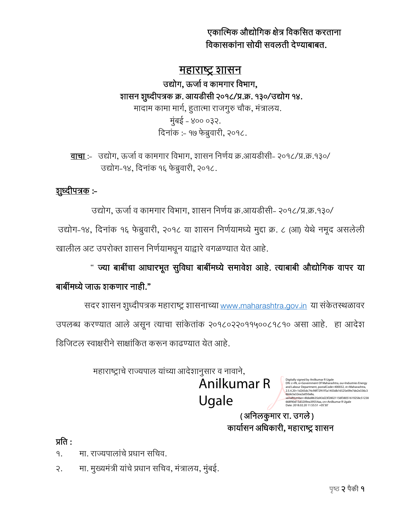एकात्मिक औद्योगिक क्षेत्र गिकगित करताना विकासकांना सोयी सवलती देण्याबाबत.

## <u>महाराष्ट्र शासन</u>

उद्योग, ऊर्जा व कामगार विभाग, शासन शुध्दीपत्रक क्र. आयडीसी २०१८/प्र.क्र. १३०/उद्योग १४. मादाम कामा मार्ग, हुतात्मा राजगुरु चौक, मंत्रालय. मुंबई - ४०० ०३२. दिनांक :- १७ फेब्रुवारी, २०१८.

वाचा :- उद्योग, ऊर्जा व कामगार विभाग, शासन निर्णय क्र.आयडीसी- २०१८/प्र.क्र.१३०/ उद्योग-१४, दिनांक १६ फेब्रुवारी, २०१८.

# <u>शुध्दीपत्रक</u> :-

उद्योग, ऊर्जा व कामगार विभाग, शासन निर्णय क्र.आयडीसी- २०१८/प्र.क्र.१३०/ उद्योग-१४, दिनांक १६ फेब्रुवारी, २०१८ या शासन निर्णयामध्ये मुद्दा क्र. ८ (आ) येथे नमूद असलेली खालील अट उपरोक्त शासन निर्णयामधून याद्वारे वगळण्यात येत आहे.

" ज्या बाबींचा आधारभूत सुविधा बाबींमध्ये समावेश आहे. त्याबाबी औद्योगिक वापर या

# बाबींमध्ये जाऊ शकणार नाही."

सदर शासन शुध्दीपत्रक महाराष्ट्र शासनाच्या [www.maharashtra.gov.in](http://www.maharashtra.gov.in/) या संकेतस्थळावर उपलब्ध करण्यात आले असून त्याचा सांकेतांक २०१८०२२०११५००८१८१० असा आहे. हा आदेश डिजिटल स्वाक्षरीने साक्षांकित करून काढण्यात येत आहे.

महाराष्ट्राचे राज्यपाल यांच्या आदेशानुसार व नावाने,

Anilkumar R Ugale

Digitally signed by Anilkumar R Ugale<br>DN: c=IN, o=Government Of Maharashtra, ou=Industries Energy<br>and Labour Department, postalCode=400032, st=Maharashtra,<br>2.5.4.20=1d265dc74c98f72f41f5a1403db16525e09e7de2e336c3 66de3a32ea2a050a8a, serialNumber=8bbd8635d43d23f28021156f38051619258c51238 668f40d15d3209ea39554aa, cn=Anilkumar R Ugale Date: 2018.02.20 11:55:51 +05'30'

( अनिलकुमार रा. उगले) कार्यासन अधिकारी, महाराष्ट्र शासन

## प्रति $\cdot$

१. वा. राज्यपालांचे प्रधान सचिव.

२. मा. मुख्यमंत्री यांचे प्रधान सचिव, मंत्रालय, मुंबई.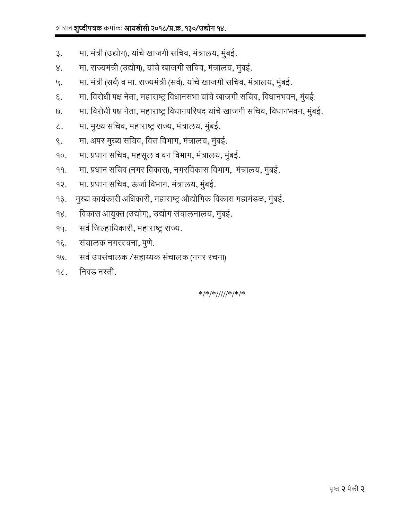- ३. मा. मंत्री (उद्योग), यांचे खाजगी सचिव, मंत्रालय, मुंबई.
- ४. मा. राज्यमंत्री (उद्योग), यांचे खाजगी सचिव, मंत्रालय, मुंबई.
- ५. वा. मंत्री (सर्व) व मा. राज्यमंत्री (सर्व), यांचे खाजगी सचिव, मंत्रालय, मुंबई.
- ६. व्या. विरोधी पक्ष नेता, महाराष्ट्र विधानसभा यांचे खाजगी सचिव, विधानभवन, मुंबई.
- ७. मा. विरोधी पक्ष नेता, महाराष्ट्र विधानपरिषद यांचे खाजगी सचिव, विधानभवन, मुंबई.
- ८. ― मा. मुख्य सचिव, महाराष्ट्र राज्य, मंत्रालय, मुंबई.
- ९. मा. अपर मुख्य सचिव, वित्त विभाग, मंत्रालय, मुंबई.
- १०. मा. प्रधान सचिव, महसूल व वन विभाग, मंत्रालय, मुंबई.
- ११. मा. प्रधान सचिव (नगर विकास), नगरविकास विभाग, मंत्रालय, मुंबई.
- १२. मा. प्रधान सचिव, ऊर्जा विभाग, मंत्रालय, मुंबई.
- १३. मुख्य कार्यकारी अधिकारी, महाराष्ट्र औद्योगिक विकास महामंडळ, मुंबई.
- १४. गिकास आयुक्त (उद्योग), उद्योग संचालनालय, मुंबई.
- १५. सर्व जिल्हाधिकारी, महाराष्ट्र राज्य.
- १६. संचालक नगररचना, पुणे.
- १७. सर्व उपसंचालक /सहाय्यक संचालक (नगर रचना)
- १८. निवड नस्ती.

\*/\*/\*/////\*/\*/\*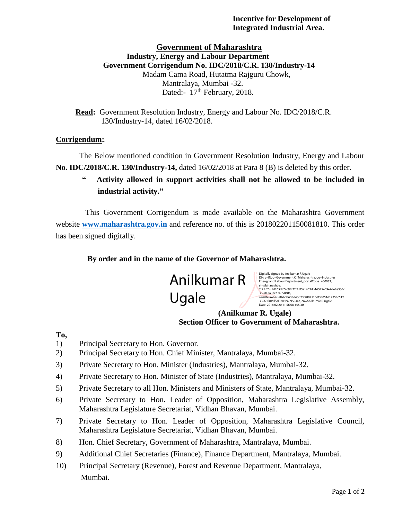#### **Incentive for Development of Integrated Industrial Area.**

#### **Government of Maharashtra Industry, Energy and Labour Department Government Corrigendum No. IDC/2018/C.R. 130/Industry-14** Madam Cama Road, Hutatma Rajguru Chowk, Mantralaya, Mumbai -32. Dated: 17<sup>th</sup> February, 2018.

 **Read:** Government Resolution Industry, Energy and Labour No. IDC/2018/C.R. 130/Industry-14, dated 16/02/2018.

#### **Corrigendum:-**

The Below mentioned condition in Government Resolution Industry, Energy and Labour **No. IDC/2018/C.R. 130/Industry-14,** dated 16/02/2018 at Para 8 (B) is deleted by this order.

Activity allowed in support activities shall not be allowed to be included in **industrial activity."**

 This Government Corrigendum is made available on the Maharashtra Government website **[www.maharashtra.gov.in](http://www.maharashtra.gov.in/)** and reference no. of this is 201802201150081810. This order has been signed digitally.

#### **By order and in the name of the Governor of Maharashtra.**



Digitally signed by Anilkumar R Ugale<br>DN: c=IN, o=Government Of Maharashtra, ou=Industries<br>Energy and Labour Department, postalCode=400032,<br>st=Maharashtra,<br>2.5.4.20=1d265dc74c98f72f41f5a1403db16525e09e7de2e336c 366de3a32ea2a050a8a,<br>serialNumber=8bbd8635d43d23f28021156f38051619258c512<br>38668f40d15d3209ea39554aa, cn=Anilkumar R Ugale<br>Date: 2018.02.20 11:56:08 +05'30'

#### **(Anilkumar R. Ugale) Section Officer to Government of Maharashtra.**

### **To,**

- 1) Principal Secretary to Hon. Governor.
- 2) Principal Secretary to Hon. Chief Minister, Mantralaya, Mumbai-32.
- 3) Private Secretary to Hon. Minister (Industries), Mantralaya, Mumbai-32.
- 4) Private Secretary to Hon. Minister of State (Industries), Mantralaya, Mumbai-32.
- 5) Private Secretary to all Hon. Ministers and Ministers of State, Mantralaya, Mumbai-32.
- 6) Private Secretary to Hon. Leader of Opposition, Maharashtra Legislative Assembly, Maharashtra Legislature Secretariat, Vidhan Bhavan, Mumbai.
- 7) Private Secretary to Hon. Leader of Opposition, Maharashtra Legislative Council, Maharashtra Legislature Secretariat, Vidhan Bhavan, Mumbai.
- 8) Hon. Chief Secretary, Government of Maharashtra, Mantralaya, Mumbai.
- 9) Additional Chief Secretaries (Finance), Finance Department, Mantralaya, Mumbai.
- 10) Principal Secretary (Revenue), Forest and Revenue Department, Mantralaya, Mumbai.